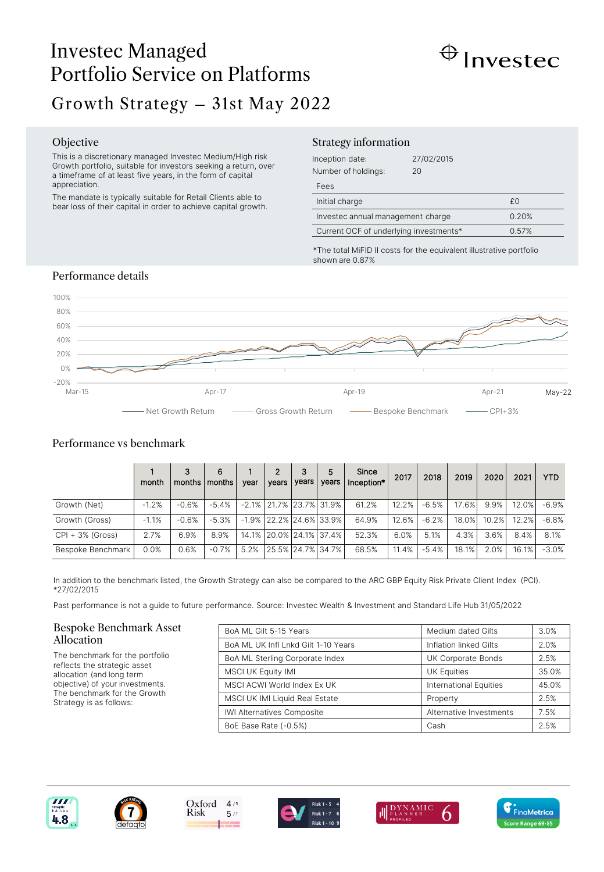# Investec Managed Portfolio Service on Platforms Growth Strategy – 31st May 2022



## Objective

This is a discretionary managed Investec Medium/High risk Growth portfolio, suitable for investors seeking a return, over a timeframe of at least five years, in the form of capital appreciation.

The mandate is typically suitable for Retail Clients able to bear loss of their capital in order to achieve capital growth.

#### Strategy information

| Inception date:<br>Number of holdings: | 27/02/2015<br>20 |    |
|----------------------------------------|------------------|----|
| Fees                                   |                  |    |
| Initial charge                         |                  | £O |
| Investec annual management charge      | 0.20%            |    |
| Current OCF of underlying investments* | 0.57%            |    |

\*The total MiFID II costs for the equivalent illustrative portfolio shown are 0.87%

## Performance details



# Performance vs benchmark

|                    | month   | 3<br>months | 6<br>months | vear | $\overline{2}$<br>vears | 3<br>years | 5<br>vears              | Since<br>Inception* | 2017  | 2018    | 2019  | 2020  | 2021  | <b>YTD</b> |
|--------------------|---------|-------------|-------------|------|-------------------------|------------|-------------------------|---------------------|-------|---------|-------|-------|-------|------------|
| Growth (Net)       | $-1.2%$ | $-0.6%$     | $-5.4%$     |      |                         |            | -2.1% 21.7% 23.7% 31.9% | 61.2%               | 12.2% | $-6.5%$ | 17.6% | 9.9%  | 12.0% | $-6.9%$    |
| Growth (Gross)     | $-1.1%$ | $-0.6%$     | $-5.3%$     |      |                         |            | -1.9% 22.2% 24.6% 33.9% | 64.9%               | 12.6% | $-6.2%$ | 18.0% | 10.2% | 12.2% | $-6.8%$    |
| $CPI + 3%$ (Gross) | 2.7%    | 6.9%        | 8.9%        |      |                         |            | 14.1% 20.0% 24.1% 37.4% | 52.3%               | 6.0%  | 5.1%    | 4.3%  | 3.6%  | 8.4%  | 8.1%       |
| Bespoke Benchmark  | 0.0%    | 0.6%        | $-0.7%$     | 5.2% |                         |            | 25.5%   24.7%   34.7%   | 68.5%               | 11.4% | $-5.4%$ | 18.1% | 2.0%  | 16.1% | $-3.0%$    |

In addition to the benchmark listed, the Growth Strategy can also be compared to the ARC GBP Equity Risk Private Client Index (PCI). \*27/02/2015

Past performance is not a guide to future performance. Source: Investec Wealth & Investment and Standard Life Hub 31/05/2022

#### Bespoke Benchmark Asset Allocation

The benchmark for the portfolio reflects the strategic asset allocation (and long term objective) of your investments. The benchmark for the Growth Strategy is as follows:

| BoA ML Gilt 5-15 Years              | Medium dated Gilts      | 3.0%  |
|-------------------------------------|-------------------------|-------|
| BoA ML UK Infl Lnkd Gilt 1-10 Years | Inflation linked Gilts  | 2.0%  |
| BoA ML Sterling Corporate Index     | UK Corporate Bonds      | 2.5%  |
| <b>MSCI UK Equity IMI</b>           | <b>UK Equities</b>      | 35.0% |
| MSCI ACWI World Index Ex UK         | International Equities  | 45.0% |
| MSCI UK IMI Liquid Real Estate      | Property                | 2.5%  |
| <b>IWI Alternatives Composite</b>   | Alternative Investments | 7.5%  |
| BoE Base Rate (-0.5%)               | Cash                    | 2.5%  |







 $5/7$